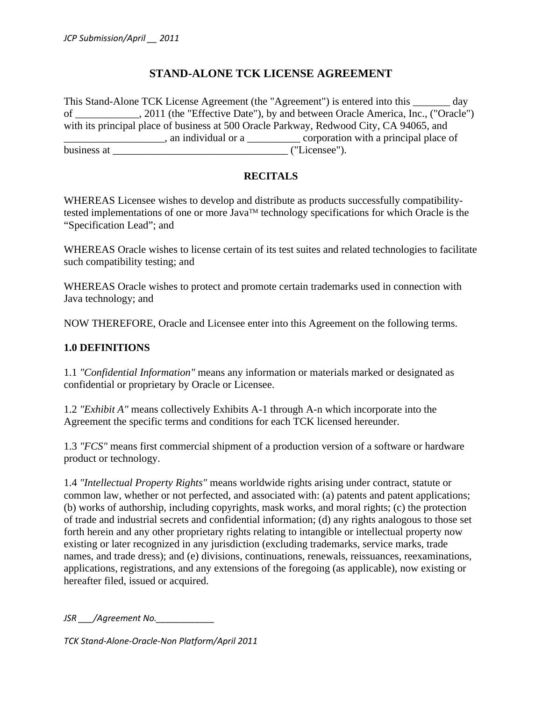# **STAND-ALONE TCK LICENSE AGREEMENT**

This Stand-Alone TCK License Agreement (the "Agreement") is entered into this \_\_\_\_\_\_\_ day of \_\_\_\_\_\_\_\_\_\_\_\_, 2011 (the "Effective Date"), by and between Oracle America, Inc., ("Oracle") with its principal place of business at 500 Oracle Parkway, Redwood City, CA 94065, and  $\Box$ , an individual or a  $\Box$  corporation with a principal place of business at \_\_\_\_\_\_\_\_\_\_\_\_\_\_\_\_\_\_\_\_\_\_\_\_\_\_\_\_\_\_\_\_\_ ("Licensee").

# **RECITALS**

WHEREAS Licensee wishes to develop and distribute as products successfully compatibilitytested implementations of one or more Java<sup>TM</sup> technology specifications for which Oracle is the "Specification Lead"; and

WHEREAS Oracle wishes to license certain of its test suites and related technologies to facilitate such compatibility testing; and

WHEREAS Oracle wishes to protect and promote certain trademarks used in connection with Java technology; and

NOW THEREFORE, Oracle and Licensee enter into this Agreement on the following terms.

# **1.0 DEFINITIONS**

1.1 *"Confidential Information"* means any information or materials marked or designated as confidential or proprietary by Oracle or Licensee.

1.2 *"Exhibit A"* means collectively Exhibits A-1 through A-n which incorporate into the Agreement the specific terms and conditions for each TCK licensed hereunder.

1.3 *"FCS"* means first commercial shipment of a production version of a software or hardware product or technology.

1.4 *"Intellectual Property Rights"* means worldwide rights arising under contract, statute or common law, whether or not perfected, and associated with: (a) patents and patent applications; (b) works of authorship, including copyrights, mask works, and moral rights; (c) the protection of trade and industrial secrets and confidential information; (d) any rights analogous to those set forth herein and any other proprietary rights relating to intangible or intellectual property now existing or later recognized in any jurisdiction (excluding trademarks, service marks, trade names, and trade dress); and (e) divisions, continuations, renewals, reissuances, reexaminations, applications, registrations, and any extensions of the foregoing (as applicable), now existing or hereafter filed, issued or acquired.

*JSR \_\_\_/Agreement No.\_\_\_\_\_\_\_\_\_\_\_\_*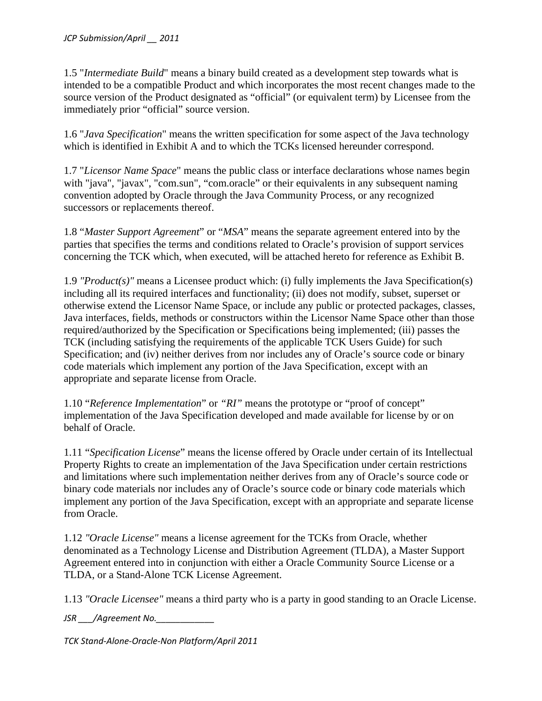1.5 "*Intermediate Build*" means a binary build created as a development step towards what is intended to be a compatible Product and which incorporates the most recent changes made to the source version of the Product designated as "official" (or equivalent term) by Licensee from the immediately prior "official" source version.

1.6 "*Java Specification*" means the written specification for some aspect of the Java technology which is identified in Exhibit A and to which the TCKs licensed hereunder correspond.

1.7 "*Licensor Name Space*" means the public class or interface declarations whose names begin with "java", "javax", "com.sun", "com.oracle" or their equivalents in any subsequent naming convention adopted by Oracle through the Java Community Process, or any recognized successors or replacements thereof.

1.8 "*Master Support Agreement*" or "*MSA*" means the separate agreement entered into by the parties that specifies the terms and conditions related to Oracle's provision of support services concerning the TCK which, when executed, will be attached hereto for reference as Exhibit B.

1.9 *"Product(s)"* means a Licensee product which: (i) fully implements the Java Specification(s) including all its required interfaces and functionality; (ii) does not modify, subset, superset or otherwise extend the Licensor Name Space, or include any public or protected packages, classes, Java interfaces, fields, methods or constructors within the Licensor Name Space other than those required/authorized by the Specification or Specifications being implemented; (iii) passes the TCK (including satisfying the requirements of the applicable TCK Users Guide) for such Specification; and (iv) neither derives from nor includes any of Oracle's source code or binary code materials which implement any portion of the Java Specification, except with an appropriate and separate license from Oracle.

1.10 "*Reference Implementation*" or *"RI"* means the prototype or "proof of concept" implementation of the Java Specification developed and made available for license by or on behalf of Oracle.

1.11 "*Specification License*" means the license offered by Oracle under certain of its Intellectual Property Rights to create an implementation of the Java Specification under certain restrictions and limitations where such implementation neither derives from any of Oracle's source code or binary code materials nor includes any of Oracle's source code or binary code materials which implement any portion of the Java Specification, except with an appropriate and separate license from Oracle.

1.12 *"Oracle License"* means a license agreement for the TCKs from Oracle, whether denominated as a Technology License and Distribution Agreement (TLDA), a Master Support Agreement entered into in conjunction with either a Oracle Community Source License or a TLDA, or a Stand-Alone TCK License Agreement.

1.13 *"Oracle Licensee"* means a third party who is a party in good standing to an Oracle License.

*JSR \_\_\_/Agreement No.\_\_\_\_\_\_\_\_\_\_\_\_*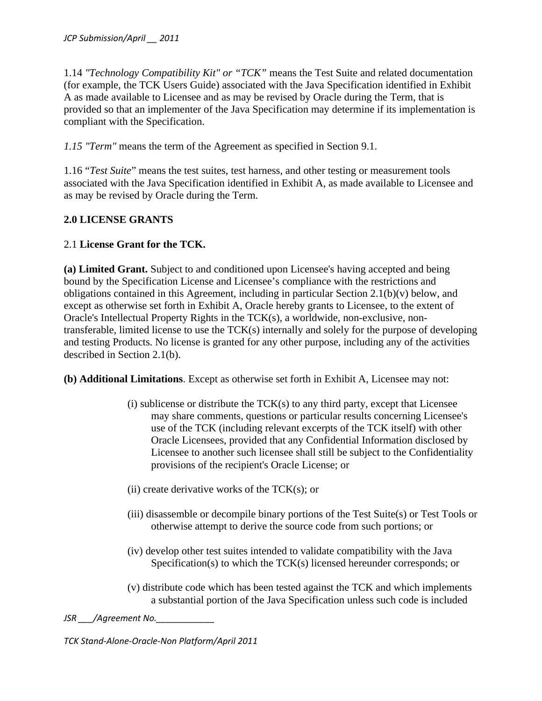1.14 *"Technology Compatibility Kit" or "TCK"* means the Test Suite and related documentation (for example, the TCK Users Guide) associated with the Java Specification identified in Exhibit A as made available to Licensee and as may be revised by Oracle during the Term, that is provided so that an implementer of the Java Specification may determine if its implementation is compliant with the Specification.

*1.15 "Term"* means the term of the Agreement as specified in Section 9.1.

1.16 "*Test Suite*" means the test suites, test harness, and other testing or measurement tools associated with the Java Specification identified in Exhibit A, as made available to Licensee and as may be revised by Oracle during the Term.

# **2.0 LICENSE GRANTS**

# 2.1 **License Grant for the TCK.**

**(a) Limited Grant.** Subject to and conditioned upon Licensee's having accepted and being bound by the Specification License and Licensee's compliance with the restrictions and obligations contained in this Agreement, including in particular Section 2.1(b)(v) below, and except as otherwise set forth in Exhibit A, Oracle hereby grants to Licensee, to the extent of Oracle's Intellectual Property Rights in the TCK(s), a worldwide, non-exclusive, nontransferable, limited license to use the TCK(s) internally and solely for the purpose of developing and testing Products. No license is granted for any other purpose, including any of the activities described in Section 2.1(b).

**(b) Additional Limitations**. Except as otherwise set forth in Exhibit A, Licensee may not:

- $(i)$  sublicense or distribute the  $TCK(s)$  to any third party, except that Licensee may share comments, questions or particular results concerning Licensee's use of the TCK (including relevant excerpts of the TCK itself) with other Oracle Licensees, provided that any Confidential Information disclosed by Licensee to another such licensee shall still be subject to the Confidentiality provisions of the recipient's Oracle License; or
- $(ii)$  create derivative works of the TCK $(s)$ ; or
- (iii) disassemble or decompile binary portions of the Test Suite(s) or Test Tools or otherwise attempt to derive the source code from such portions; or
- (iv) develop other test suites intended to validate compatibility with the Java Specification(s) to which the TCK(s) licensed hereunder corresponds; or
- (v) distribute code which has been tested against the TCK and which implements a substantial portion of the Java Specification unless such code is included

*JSR \_\_\_/Agreement No.\_\_\_\_\_\_\_\_\_\_\_\_*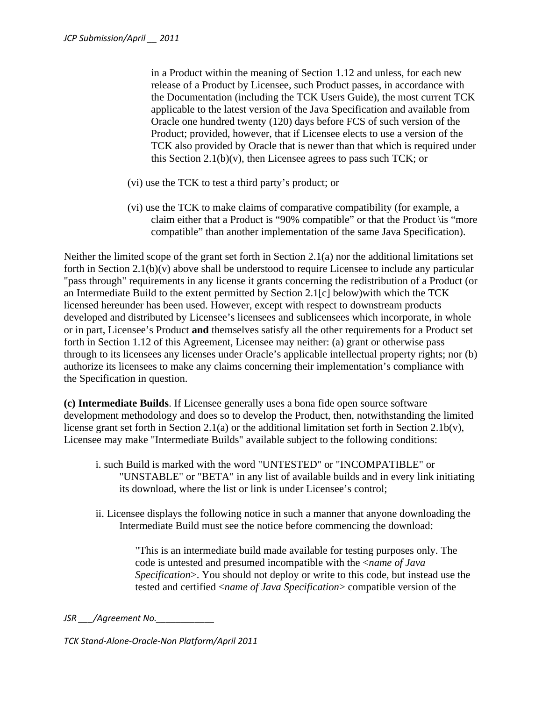in a Product within the meaning of Section 1.12 and unless, for each new release of a Product by Licensee, such Product passes, in accordance with the Documentation (including the TCK Users Guide), the most current TCK applicable to the latest version of the Java Specification and available from Oracle one hundred twenty (120) days before FCS of such version of the Product; provided, however, that if Licensee elects to use a version of the TCK also provided by Oracle that is newer than that which is required under this Section 2.1(b)(v), then Licensee agrees to pass such TCK; or

- (vi) use the TCK to test a third party's product; or
- (vi) use the TCK to make claims of comparative compatibility (for example, a claim either that a Product is "90% compatible" or that the Product \is "more compatible" than another implementation of the same Java Specification).

Neither the limited scope of the grant set forth in Section 2.1(a) nor the additional limitations set forth in Section 2.1(b)(v) above shall be understood to require Licensee to include any particular "pass through" requirements in any license it grants concerning the redistribution of a Product (or an Intermediate Build to the extent permitted by Section 2.1[c] below)with which the TCK licensed hereunder has been used. However, except with respect to downstream products developed and distributed by Licensee's licensees and sublicensees which incorporate, in whole or in part, Licensee's Product **and** themselves satisfy all the other requirements for a Product set forth in Section 1.12 of this Agreement, Licensee may neither: (a) grant or otherwise pass through to its licensees any licenses under Oracle's applicable intellectual property rights; nor (b) authorize its licensees to make any claims concerning their implementation's compliance with the Specification in question.

**(c) Intermediate Builds**. If Licensee generally uses a bona fide open source software development methodology and does so to develop the Product, then, notwithstanding the limited license grant set forth in Section 2.1(a) or the additional limitation set forth in Section 2.1b(v), Licensee may make "Intermediate Builds" available subject to the following conditions:

- i. such Build is marked with the word "UNTESTED" or "INCOMPATIBLE" or "UNSTABLE" or "BETA" in any list of available builds and in every link initiating its download, where the list or link is under Licensee's control;
- ii. Licensee displays the following notice in such a manner that anyone downloading the Intermediate Build must see the notice before commencing the download:

"This is an intermediate build made available for testing purposes only. The code is untested and presumed incompatible with the <*name of Java Specification*>. You should not deploy or write to this code, but instead use the tested and certified <*name of Java Specification*> compatible version of the

*JSR \_\_\_/Agreement No.\_\_\_\_\_\_\_\_\_\_\_\_*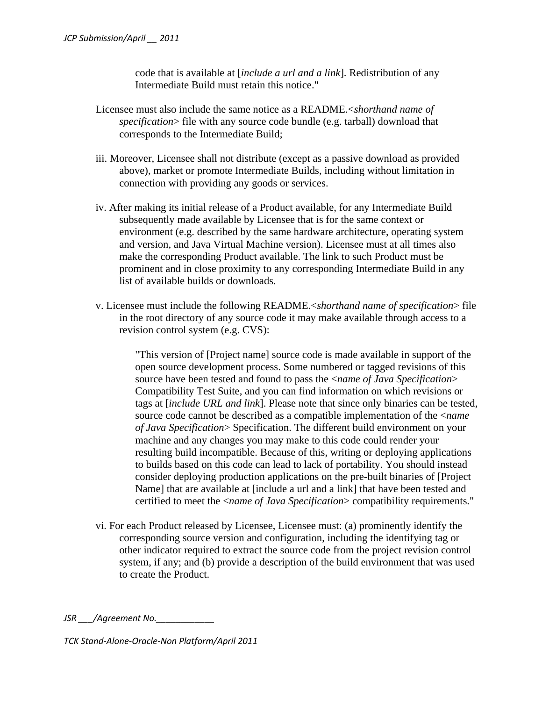code that is available at [*include a url and a link*]. Redistribution of any Intermediate Build must retain this notice."

- Licensee must also include the same notice as a README.<*shorthand name of specification*> file with any source code bundle (e.g. tarball) download that corresponds to the Intermediate Build;
- iii. Moreover, Licensee shall not distribute (except as a passive download as provided above), market or promote Intermediate Builds, including without limitation in connection with providing any goods or services.
- iv. After making its initial release of a Product available, for any Intermediate Build subsequently made available by Licensee that is for the same context or environment (e.g. described by the same hardware architecture, operating system and version, and Java Virtual Machine version). Licensee must at all times also make the corresponding Product available. The link to such Product must be prominent and in close proximity to any corresponding Intermediate Build in any list of available builds or downloads*.*
- v. Licensee must include the following README.<*shorthand name of specification*> file in the root directory of any source code it may make available through access to a revision control system (e.g. CVS):

"This version of [Project name] source code is made available in support of the open source development process. Some numbered or tagged revisions of this source have been tested and found to pass the <*name of Java Specification*> Compatibility Test Suite, and you can find information on which revisions or tags at [*include URL and link*]. Please note that since only binaries can be tested, source code cannot be described as a compatible implementation of the <*name of Java Specification*> Specification. The different build environment on your machine and any changes you may make to this code could render your resulting build incompatible. Because of this, writing or deploying applications to builds based on this code can lead to lack of portability. You should instead consider deploying production applications on the pre-built binaries of [Project Name] that are available at [include a url and a link] that have been tested and certified to meet the <*name of Java Specification*> compatibility requirements."

vi. For each Product released by Licensee, Licensee must: (a) prominently identify the corresponding source version and configuration, including the identifying tag or other indicator required to extract the source code from the project revision control system, if any; and (b) provide a description of the build environment that was used to create the Product.

*JSR \_\_\_/Agreement No.\_\_\_\_\_\_\_\_\_\_\_\_*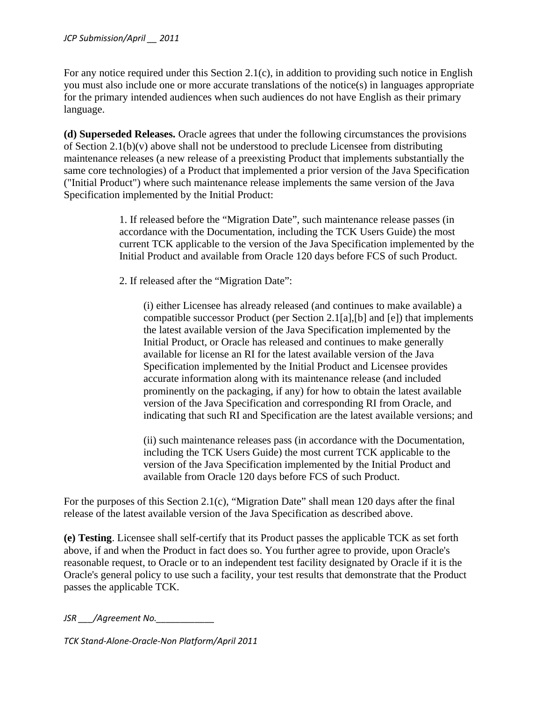#### *JCP Submission/April \_\_ 2011*

For any notice required under this Section 2.1(c), in addition to providing such notice in English you must also include one or more accurate translations of the notice(s) in languages appropriate for the primary intended audiences when such audiences do not have English as their primary language.

**(d) Superseded Releases.** Oracle agrees that under the following circumstances the provisions of Section 2.1(b)(v) above shall not be understood to preclude Licensee from distributing maintenance releases (a new release of a preexisting Product that implements substantially the same core technologies) of a Product that implemented a prior version of the Java Specification ("Initial Product") where such maintenance release implements the same version of the Java Specification implemented by the Initial Product:

> 1. If released before the "Migration Date", such maintenance release passes (in accordance with the Documentation, including the TCK Users Guide) the most current TCK applicable to the version of the Java Specification implemented by the Initial Product and available from Oracle 120 days before FCS of such Product.

2. If released after the "Migration Date":

(i) either Licensee has already released (and continues to make available) a compatible successor Product (per Section 2.1[a],[b] and [e]) that implements the latest available version of the Java Specification implemented by the Initial Product, or Oracle has released and continues to make generally available for license an RI for the latest available version of the Java Specification implemented by the Initial Product and Licensee provides accurate information along with its maintenance release (and included prominently on the packaging, if any) for how to obtain the latest available version of the Java Specification and corresponding RI from Oracle, and indicating that such RI and Specification are the latest available versions; and

(ii) such maintenance releases pass (in accordance with the Documentation, including the TCK Users Guide) the most current TCK applicable to the version of the Java Specification implemented by the Initial Product and available from Oracle 120 days before FCS of such Product.

For the purposes of this Section 2.1(c), "Migration Date" shall mean 120 days after the final release of the latest available version of the Java Specification as described above.

**(e) Testing**. Licensee shall self-certify that its Product passes the applicable TCK as set forth above, if and when the Product in fact does so. You further agree to provide, upon Oracle's reasonable request, to Oracle or to an independent test facility designated by Oracle if it is the Oracle's general policy to use such a facility, your test results that demonstrate that the Product passes the applicable TCK.

*JSR /Agreement No.*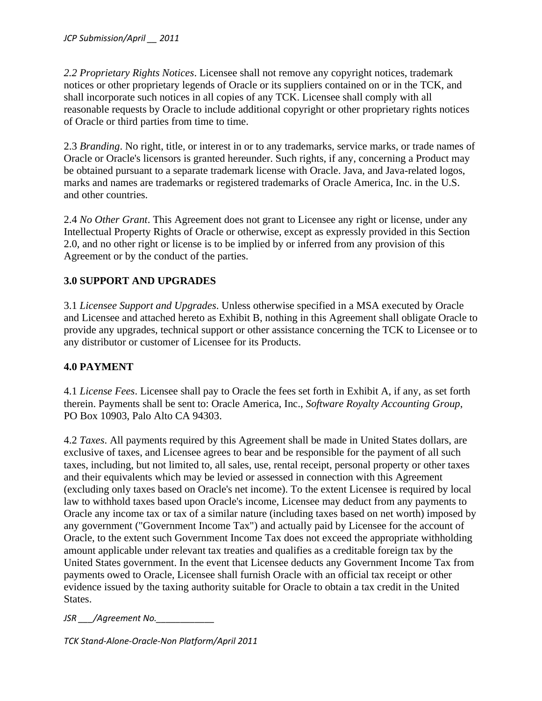*2.2 Proprietary Rights Notices*. Licensee shall not remove any copyright notices, trademark notices or other proprietary legends of Oracle or its suppliers contained on or in the TCK, and shall incorporate such notices in all copies of any TCK. Licensee shall comply with all reasonable requests by Oracle to include additional copyright or other proprietary rights notices of Oracle or third parties from time to time.

2.3 *Branding*. No right, title, or interest in or to any trademarks, service marks, or trade names of Oracle or Oracle's licensors is granted hereunder. Such rights, if any, concerning a Product may be obtained pursuant to a separate trademark license with Oracle. Java, and Java-related logos, marks and names are trademarks or registered trademarks of Oracle America, Inc. in the U.S. and other countries.

2.4 *No Other Grant*. This Agreement does not grant to Licensee any right or license, under any Intellectual Property Rights of Oracle or otherwise, except as expressly provided in this Section 2.0, and no other right or license is to be implied by or inferred from any provision of this Agreement or by the conduct of the parties.

# **3.0 SUPPORT AND UPGRADES**

3.1 *Licensee Support and Upgrades*. Unless otherwise specified in a MSA executed by Oracle and Licensee and attached hereto as Exhibit B, nothing in this Agreement shall obligate Oracle to provide any upgrades, technical support or other assistance concerning the TCK to Licensee or to any distributor or customer of Licensee for its Products.

### **4.0 PAYMENT**

4.1 *License Fees*. Licensee shall pay to Oracle the fees set forth in Exhibit A, if any, as set forth therein. Payments shall be sent to: Oracle America, Inc., *Software Royalty Accounting Group*, PO Box 10903, Palo Alto CA 94303.

4.2 *Taxes*. All payments required by this Agreement shall be made in United States dollars, are exclusive of taxes, and Licensee agrees to bear and be responsible for the payment of all such taxes, including, but not limited to, all sales, use, rental receipt, personal property or other taxes and their equivalents which may be levied or assessed in connection with this Agreement (excluding only taxes based on Oracle's net income). To the extent Licensee is required by local law to withhold taxes based upon Oracle's income, Licensee may deduct from any payments to Oracle any income tax or tax of a similar nature (including taxes based on net worth) imposed by any government ("Government Income Tax") and actually paid by Licensee for the account of Oracle, to the extent such Government Income Tax does not exceed the appropriate withholding amount applicable under relevant tax treaties and qualifies as a creditable foreign tax by the United States government. In the event that Licensee deducts any Government Income Tax from payments owed to Oracle, Licensee shall furnish Oracle with an official tax receipt or other evidence issued by the taxing authority suitable for Oracle to obtain a tax credit in the United States.

*JSR \_\_\_/Agreement No.\_\_\_\_\_\_\_\_\_\_\_\_*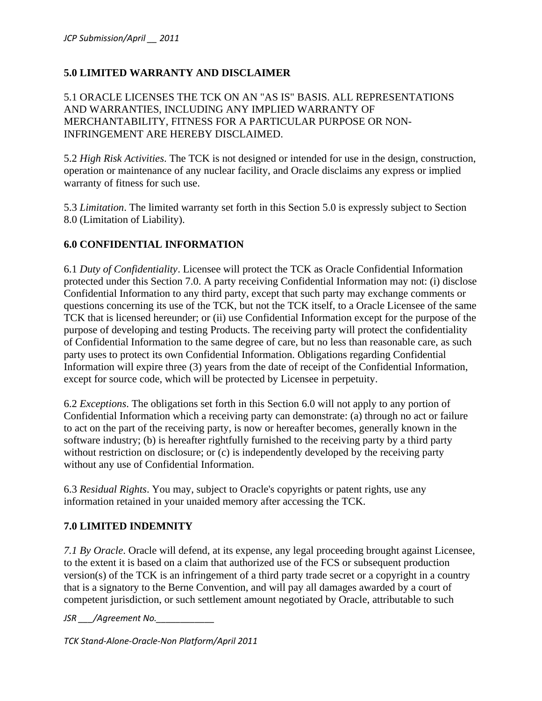## **5.0 LIMITED WARRANTY AND DISCLAIMER**

5.1 ORACLE LICENSES THE TCK ON AN "AS IS" BASIS. ALL REPRESENTATIONS AND WARRANTIES, INCLUDING ANY IMPLIED WARRANTY OF MERCHANTABILITY, FITNESS FOR A PARTICULAR PURPOSE OR NON-INFRINGEMENT ARE HEREBY DISCLAIMED.

5.2 *High Risk Activities*. The TCK is not designed or intended for use in the design, construction, operation or maintenance of any nuclear facility, and Oracle disclaims any express or implied warranty of fitness for such use.

5.3 *Limitation*. The limited warranty set forth in this Section 5.0 is expressly subject to Section 8.0 (Limitation of Liability).

#### **6.0 CONFIDENTIAL INFORMATION**

6.1 *Duty of Confidentiality*. Licensee will protect the TCK as Oracle Confidential Information protected under this Section 7.0. A party receiving Confidential Information may not: (i) disclose Confidential Information to any third party, except that such party may exchange comments or questions concerning its use of the TCK, but not the TCK itself, to a Oracle Licensee of the same TCK that is licensed hereunder; or (ii) use Confidential Information except for the purpose of the purpose of developing and testing Products. The receiving party will protect the confidentiality of Confidential Information to the same degree of care, but no less than reasonable care, as such party uses to protect its own Confidential Information. Obligations regarding Confidential Information will expire three (3) years from the date of receipt of the Confidential Information, except for source code, which will be protected by Licensee in perpetuity.

6.2 *Exceptions*. The obligations set forth in this Section 6.0 will not apply to any portion of Confidential Information which a receiving party can demonstrate: (a) through no act or failure to act on the part of the receiving party, is now or hereafter becomes, generally known in the software industry; (b) is hereafter rightfully furnished to the receiving party by a third party without restriction on disclosure; or (c) is independently developed by the receiving party without any use of Confidential Information.

6.3 *Residual Rights*. You may, subject to Oracle's copyrights or patent rights, use any information retained in your unaided memory after accessing the TCK.

### **7.0 LIMITED INDEMNITY**

*7.1 By Oracle*. Oracle will defend, at its expense, any legal proceeding brought against Licensee, to the extent it is based on a claim that authorized use of the FCS or subsequent production version(s) of the TCK is an infringement of a third party trade secret or a copyright in a country that is a signatory to the Berne Convention, and will pay all damages awarded by a court of competent jurisdiction, or such settlement amount negotiated by Oracle, attributable to such

*JSR \_\_\_/Agreement No.\_\_\_\_\_\_\_\_\_\_\_\_*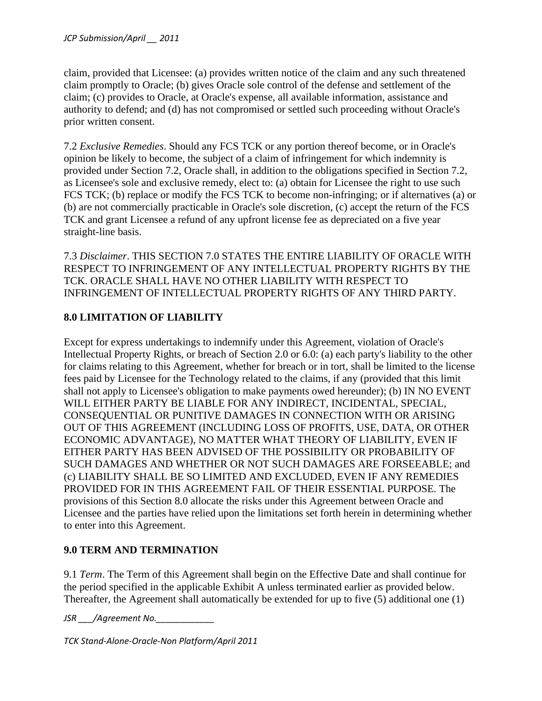claim, provided that Licensee: (a) provides written notice of the claim and any such threatened claim promptly to Oracle; (b) gives Oracle sole control of the defense and settlement of the claim; (c) provides to Oracle, at Oracle's expense, all available information, assistance and authority to defend; and (d) has not compromised or settled such proceeding without Oracle's prior written consent.

7.2 *Exclusive Remedies*. Should any FCS TCK or any portion thereof become, or in Oracle's opinion be likely to become, the subject of a claim of infringement for which indemnity is provided under Section 7.2, Oracle shall, in addition to the obligations specified in Section 7.2, as Licensee's sole and exclusive remedy, elect to: (a) obtain for Licensee the right to use such FCS TCK; (b) replace or modify the FCS TCK to become non-infringing; or if alternatives (a) or (b) are not commercially practicable in Oracle's sole discretion, (c) accept the return of the FCS TCK and grant Licensee a refund of any upfront license fee as depreciated on a five year straight-line basis.

7.3 *Disclaimer*. THIS SECTION 7.0 STATES THE ENTIRE LIABILITY OF ORACLE WITH RESPECT TO INFRINGEMENT OF ANY INTELLECTUAL PROPERTY RIGHTS BY THE TCK. ORACLE SHALL HAVE NO OTHER LIABILITY WITH RESPECT TO INFRINGEMENT OF INTELLECTUAL PROPERTY RIGHTS OF ANY THIRD PARTY.

# **8.0 LIMITATION OF LIABILITY**

Except for express undertakings to indemnify under this Agreement, violation of Oracle's Intellectual Property Rights, or breach of Section 2.0 or 6.0: (a) each party's liability to the other for claims relating to this Agreement, whether for breach or in tort, shall be limited to the license fees paid by Licensee for the Technology related to the claims, if any (provided that this limit shall not apply to Licensee's obligation to make payments owed hereunder); (b) IN NO EVENT WILL EITHER PARTY BE LIABLE FOR ANY INDIRECT, INCIDENTAL, SPECIAL, CONSEQUENTIAL OR PUNITIVE DAMAGES IN CONNECTION WITH OR ARISING OUT OF THIS AGREEMENT (INCLUDING LOSS OF PROFITS, USE, DATA, OR OTHER ECONOMIC ADVANTAGE), NO MATTER WHAT THEORY OF LIABILITY, EVEN IF EITHER PARTY HAS BEEN ADVISED OF THE POSSIBILITY OR PROBABILITY OF SUCH DAMAGES AND WHETHER OR NOT SUCH DAMAGES ARE FORSEEABLE; and (c) LIABILITY SHALL BE SO LIMITED AND EXCLUDED, EVEN IF ANY REMEDIES PROVIDED FOR IN THIS AGREEMENT FAIL OF THEIR ESSENTIAL PURPOSE. The provisions of this Section 8.0 allocate the risks under this Agreement between Oracle and Licensee and the parties have relied upon the limitations set forth herein in determining whether to enter into this Agreement.

# **9.0 TERM AND TERMINATION**

9.1 *Term*. The Term of this Agreement shall begin on the Effective Date and shall continue for the period specified in the applicable Exhibit A unless terminated earlier as provided below. Thereafter, the Agreement shall automatically be extended for up to five (5) additional one (1)

*JSR \_\_\_/Agreement No.\_\_\_\_\_\_\_\_\_\_\_\_*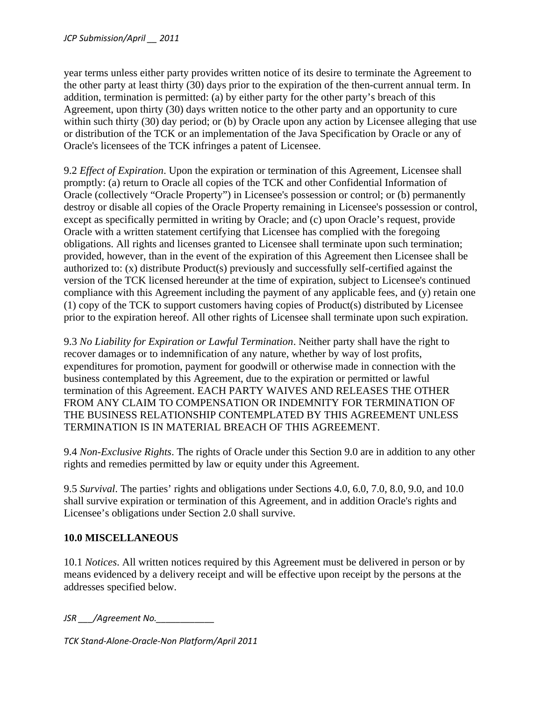year terms unless either party provides written notice of its desire to terminate the Agreement to the other party at least thirty (30) days prior to the expiration of the then-current annual term. In addition, termination is permitted: (a) by either party for the other party's breach of this Agreement, upon thirty (30) days written notice to the other party and an opportunity to cure within such thirty (30) day period; or (b) by Oracle upon any action by Licensee alleging that use or distribution of the TCK or an implementation of the Java Specification by Oracle or any of Oracle's licensees of the TCK infringes a patent of Licensee.

9.2 *Effect of Expiration*. Upon the expiration or termination of this Agreement, Licensee shall promptly: (a) return to Oracle all copies of the TCK and other Confidential Information of Oracle (collectively "Oracle Property") in Licensee's possession or control; or (b) permanently destroy or disable all copies of the Oracle Property remaining in Licensee's possession or control, except as specifically permitted in writing by Oracle; and (c) upon Oracle's request, provide Oracle with a written statement certifying that Licensee has complied with the foregoing obligations. All rights and licenses granted to Licensee shall terminate upon such termination; provided, however, than in the event of the expiration of this Agreement then Licensee shall be authorized to: (x) distribute Product(s) previously and successfully self-certified against the version of the TCK licensed hereunder at the time of expiration, subject to Licensee's continued compliance with this Agreement including the payment of any applicable fees, and (y) retain one (1) copy of the TCK to support customers having copies of Product(s) distributed by Licensee prior to the expiration hereof. All other rights of Licensee shall terminate upon such expiration.

9.3 *No Liability for Expiration or Lawful Termination*. Neither party shall have the right to recover damages or to indemnification of any nature, whether by way of lost profits, expenditures for promotion, payment for goodwill or otherwise made in connection with the business contemplated by this Agreement, due to the expiration or permitted or lawful termination of this Agreement. EACH PARTY WAIVES AND RELEASES THE OTHER FROM ANY CLAIM TO COMPENSATION OR INDEMNITY FOR TERMINATION OF THE BUSINESS RELATIONSHIP CONTEMPLATED BY THIS AGREEMENT UNLESS TERMINATION IS IN MATERIAL BREACH OF THIS AGREEMENT.

9.4 *Non-Exclusive Rights*. The rights of Oracle under this Section 9.0 are in addition to any other rights and remedies permitted by law or equity under this Agreement.

9.5 *Survival*. The parties' rights and obligations under Sections 4.0, 6.0, 7.0, 8.0, 9.0, and 10.0 shall survive expiration or termination of this Agreement, and in addition Oracle's rights and Licensee's obligations under Section 2.0 shall survive.

### **10.0 MISCELLANEOUS**

10.1 *Notices*. All written notices required by this Agreement must be delivered in person or by means evidenced by a delivery receipt and will be effective upon receipt by the persons at the addresses specified below.

*JSR \_\_\_/Agreement No.\_\_\_\_\_\_\_\_\_\_\_\_*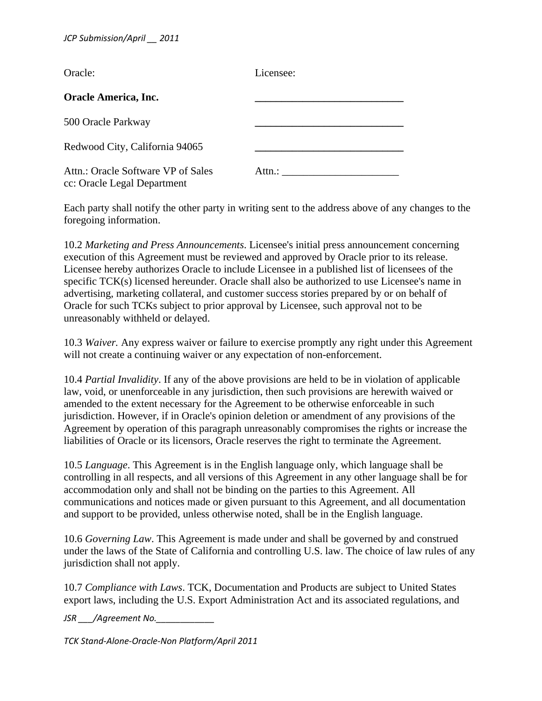| Oracle:                                                           | Licensee: |
|-------------------------------------------------------------------|-----------|
| <b>Oracle America, Inc.</b>                                       |           |
| 500 Oracle Parkway                                                |           |
| Redwood City, California 94065                                    |           |
| Attn.: Oracle Software VP of Sales<br>cc: Oracle Legal Department | Attn.:    |

Each party shall notify the other party in writing sent to the address above of any changes to the foregoing information.

10.2 *Marketing and Press Announcements*. Licensee's initial press announcement concerning execution of this Agreement must be reviewed and approved by Oracle prior to its release. Licensee hereby authorizes Oracle to include Licensee in a published list of licensees of the specific TCK(s) licensed hereunder. Oracle shall also be authorized to use Licensee's name in advertising, marketing collateral, and customer success stories prepared by or on behalf of Oracle for such TCKs subject to prior approval by Licensee, such approval not to be unreasonably withheld or delayed.

10.3 *Waiver.* Any express waiver or failure to exercise promptly any right under this Agreement will not create a continuing waiver or any expectation of non-enforcement.

10.4 *Partial Invalidity*. If any of the above provisions are held to be in violation of applicable law, void, or unenforceable in any jurisdiction, then such provisions are herewith waived or amended to the extent necessary for the Agreement to be otherwise enforceable in such jurisdiction. However, if in Oracle's opinion deletion or amendment of any provisions of the Agreement by operation of this paragraph unreasonably compromises the rights or increase the liabilities of Oracle or its licensors, Oracle reserves the right to terminate the Agreement.

10.5 *Language*. This Agreement is in the English language only, which language shall be controlling in all respects, and all versions of this Agreement in any other language shall be for accommodation only and shall not be binding on the parties to this Agreement. All communications and notices made or given pursuant to this Agreement, and all documentation and support to be provided, unless otherwise noted, shall be in the English language.

10.6 *Governing Law*. This Agreement is made under and shall be governed by and construed under the laws of the State of California and controlling U.S. law. The choice of law rules of any jurisdiction shall not apply.

10.7 *Compliance with Laws*. TCK, Documentation and Products are subject to United States export laws, including the U.S. Export Administration Act and its associated regulations, and

*JSR /Agreement No.*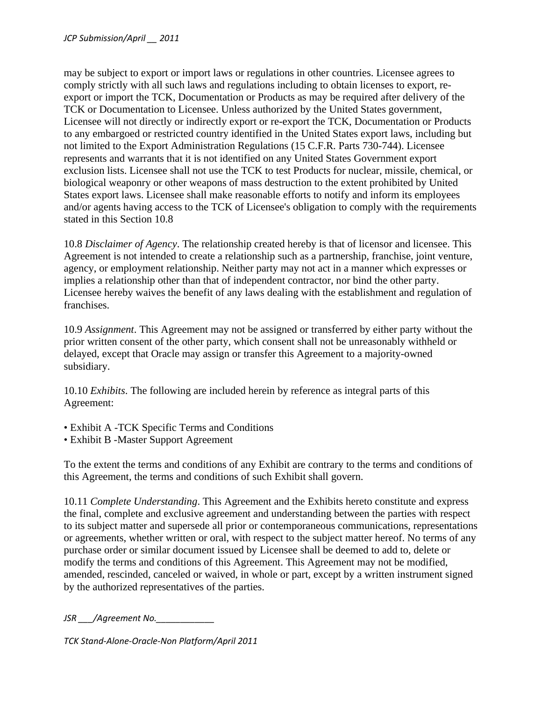may be subject to export or import laws or regulations in other countries. Licensee agrees to comply strictly with all such laws and regulations including to obtain licenses to export, reexport or import the TCK, Documentation or Products as may be required after delivery of the TCK or Documentation to Licensee. Unless authorized by the United States government, Licensee will not directly or indirectly export or re-export the TCK, Documentation or Products to any embargoed or restricted country identified in the United States export laws, including but not limited to the Export Administration Regulations (15 C.F.R. Parts 730-744). Licensee represents and warrants that it is not identified on any United States Government export exclusion lists. Licensee shall not use the TCK to test Products for nuclear, missile, chemical, or biological weaponry or other weapons of mass destruction to the extent prohibited by United States export laws. Licensee shall make reasonable efforts to notify and inform its employees and/or agents having access to the TCK of Licensee's obligation to comply with the requirements stated in this Section 10.8

10.8 *Disclaimer of Agency*. The relationship created hereby is that of licensor and licensee. This Agreement is not intended to create a relationship such as a partnership, franchise, joint venture, agency, or employment relationship. Neither party may not act in a manner which expresses or implies a relationship other than that of independent contractor, nor bind the other party. Licensee hereby waives the benefit of any laws dealing with the establishment and regulation of franchises.

10.9 *Assignment*. This Agreement may not be assigned or transferred by either party without the prior written consent of the other party, which consent shall not be unreasonably withheld or delayed, except that Oracle may assign or transfer this Agreement to a majority-owned subsidiary.

10.10 *Exhibits*. The following are included herein by reference as integral parts of this Agreement:

- Exhibit A -TCK Specific Terms and Conditions
- Exhibit B -Master Support Agreement

To the extent the terms and conditions of any Exhibit are contrary to the terms and conditions of this Agreement, the terms and conditions of such Exhibit shall govern.

10.11 *Complete Understanding*. This Agreement and the Exhibits hereto constitute and express the final, complete and exclusive agreement and understanding between the parties with respect to its subject matter and supersede all prior or contemporaneous communications, representations or agreements, whether written or oral, with respect to the subject matter hereof. No terms of any purchase order or similar document issued by Licensee shall be deemed to add to, delete or modify the terms and conditions of this Agreement. This Agreement may not be modified, amended, rescinded, canceled or waived, in whole or part, except by a written instrument signed by the authorized representatives of the parties.

*JSR \_\_\_/Agreement No.\_\_\_\_\_\_\_\_\_\_\_\_*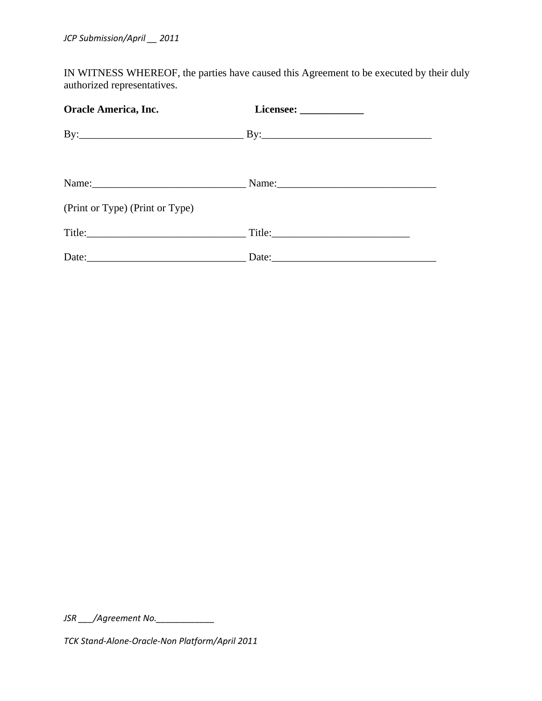IN WITNESS WHEREOF, the parties have caused this Agreement to be executed by their duly authorized representatives.

| <b>Oracle America, Inc.</b>     |  |
|---------------------------------|--|
|                                 |  |
|                                 |  |
| (Print or Type) (Print or Type) |  |
|                                 |  |
|                                 |  |

*JSR /Agreement No.*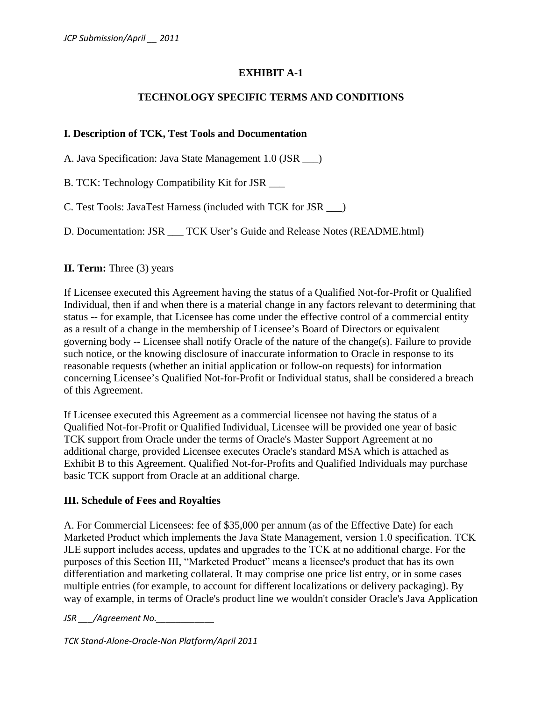# **EXHIBIT A-1**

#### **TECHNOLOGY SPECIFIC TERMS AND CONDITIONS**

#### **I. Description of TCK, Test Tools and Documentation**

A. Java Specification: Java State Management 1.0 (JSR \_\_\_)

B. TCK: Technology Compatibility Kit for JSR \_\_\_

C. Test Tools: JavaTest Harness (included with TCK for JSR \_\_\_)

D. Documentation: JSR \_\_\_ TCK User's Guide and Release Notes (README.html)

#### **II. Term:** Three (3) years

If Licensee executed this Agreement having the status of a Qualified Not-for-Profit or Qualified Individual, then if and when there is a material change in any factors relevant to determining that status -- for example, that Licensee has come under the effective control of a commercial entity as a result of a change in the membership of Licensee's Board of Directors or equivalent governing body -- Licensee shall notify Oracle of the nature of the change(s). Failure to provide such notice, or the knowing disclosure of inaccurate information to Oracle in response to its reasonable requests (whether an initial application or follow-on requests) for information concerning Licensee's Qualified Not-for-Profit or Individual status, shall be considered a breach of this Agreement.

If Licensee executed this Agreement as a commercial licensee not having the status of a Qualified Not-for-Profit or Qualified Individual, Licensee will be provided one year of basic TCK support from Oracle under the terms of Oracle's Master Support Agreement at no additional charge, provided Licensee executes Oracle's standard MSA which is attached as Exhibit B to this Agreement. Qualified Not-for-Profits and Qualified Individuals may purchase basic TCK support from Oracle at an additional charge.

#### **III. Schedule of Fees and Royalties**

A. For Commercial Licensees: fee of \$35,000 per annum (as of the Effective Date) for each Marketed Product which implements the Java State Management, version 1.0 specification. TCK JLE support includes access, updates and upgrades to the TCK at no additional charge. For the purposes of this Section III, "Marketed Product" means a licensee's product that has its own differentiation and marketing collateral. It may comprise one price list entry, or in some cases multiple entries (for example, to account for different localizations or delivery packaging). By way of example, in terms of Oracle's product line we wouldn't consider Oracle's Java Application

*JSR \_\_\_/Agreement No.\_\_\_\_\_\_\_\_\_\_\_\_*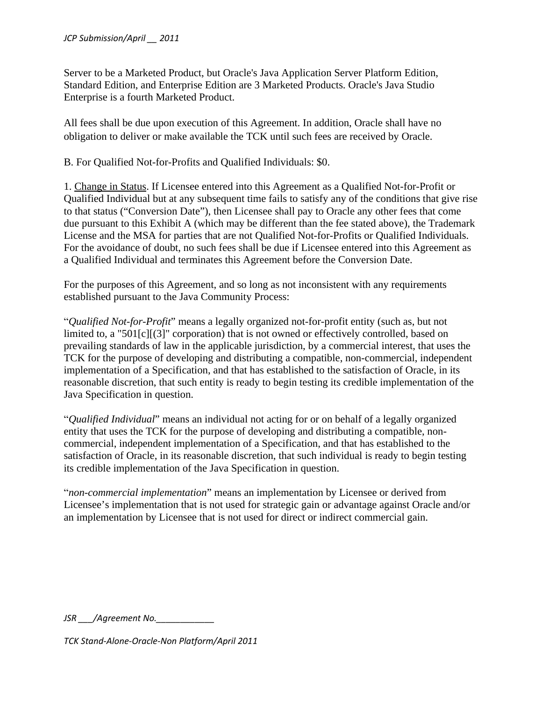Server to be a Marketed Product, but Oracle's Java Application Server Platform Edition, Standard Edition, and Enterprise Edition are 3 Marketed Products. Oracle's Java Studio Enterprise is a fourth Marketed Product.

All fees shall be due upon execution of this Agreement. In addition, Oracle shall have no obligation to deliver or make available the TCK until such fees are received by Oracle.

B. For Qualified Not-for-Profits and Qualified Individuals: \$0.

1. Change in Status. If Licensee entered into this Agreement as a Qualified Not-for-Profit or Qualified Individual but at any subsequent time fails to satisfy any of the conditions that give rise to that status ("Conversion Date"), then Licensee shall pay to Oracle any other fees that come due pursuant to this Exhibit A (which may be different than the fee stated above), the Trademark License and the MSA for parties that are not Qualified Not-for-Profits or Qualified Individuals. For the avoidance of doubt, no such fees shall be due if Licensee entered into this Agreement as a Qualified Individual and terminates this Agreement before the Conversion Date.

For the purposes of this Agreement, and so long as not inconsistent with any requirements established pursuant to the Java Community Process:

"*Qualified Not-for-Profit*" means a legally organized not-for-profit entity (such as, but not limited to, a "501[c][(3]" corporation) that is not owned or effectively controlled, based on prevailing standards of law in the applicable jurisdiction, by a commercial interest, that uses the TCK for the purpose of developing and distributing a compatible, non-commercial, independent implementation of a Specification, and that has established to the satisfaction of Oracle, in its reasonable discretion, that such entity is ready to begin testing its credible implementation of the Java Specification in question.

"*Qualified Individual*" means an individual not acting for or on behalf of a legally organized entity that uses the TCK for the purpose of developing and distributing a compatible, noncommercial, independent implementation of a Specification, and that has established to the satisfaction of Oracle, in its reasonable discretion, that such individual is ready to begin testing its credible implementation of the Java Specification in question.

"*non-commercial implementation*" means an implementation by Licensee or derived from Licensee's implementation that is not used for strategic gain or advantage against Oracle and/or an implementation by Licensee that is not used for direct or indirect commercial gain.

*JSR \_\_\_/Agreement No.\_\_\_\_\_\_\_\_\_\_\_\_*